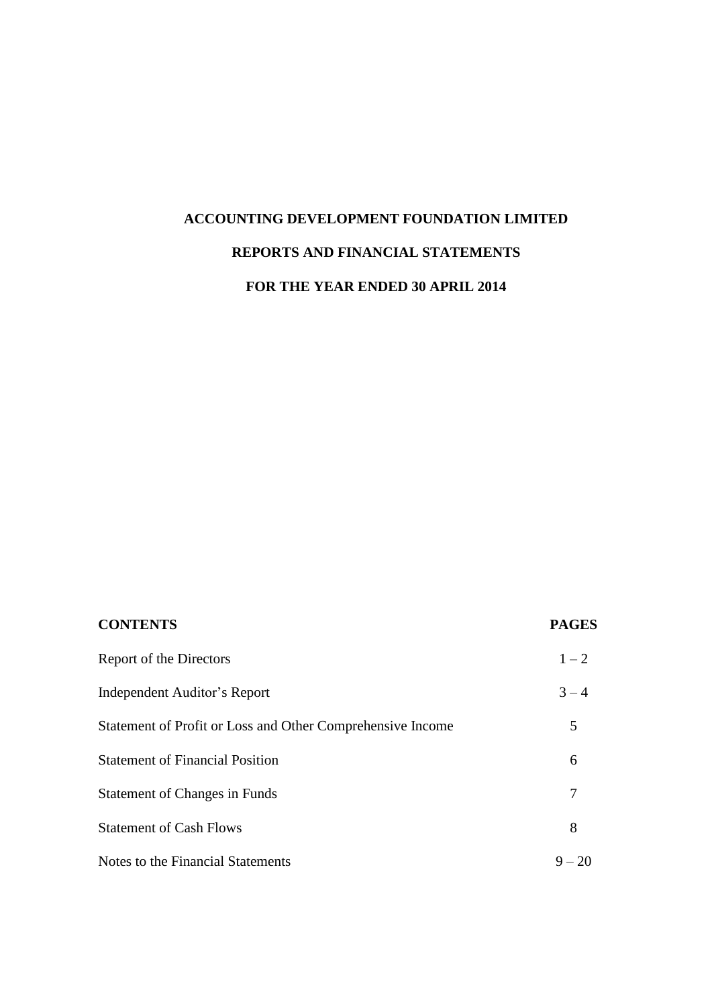# **ACCOUNTING DEVELOPMENT FOUNDATION LIMITED REPORTS AND FINANCIAL STATEMENTS**

## **FOR THE YEAR ENDED 30 APRIL 2014**

| <b>CONTENTS</b>                                            | <b>PAGES</b> |
|------------------------------------------------------------|--------------|
| Report of the Directors                                    | $1 - 2$      |
| Independent Auditor's Report                               | $3 - 4$      |
| Statement of Profit or Loss and Other Comprehensive Income | 5            |
| <b>Statement of Financial Position</b>                     | 6            |
| <b>Statement of Changes in Funds</b>                       |              |
| <b>Statement of Cash Flows</b>                             | 8            |
| Notes to the Financial Statements                          | $9 - 20$     |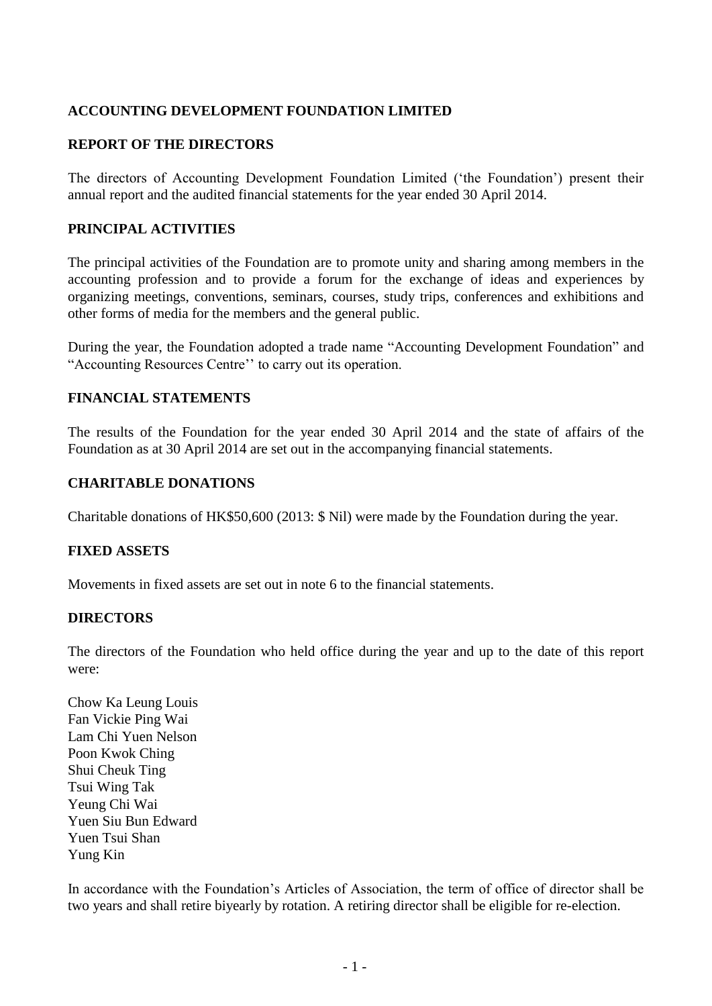### **REPORT OF THE DIRECTORS**

The directors of Accounting Development Foundation Limited ('the Foundation') present their annual report and the audited financial statements for the year ended 30 April 2014.

### **PRINCIPAL ACTIVITIES**

The principal activities of the Foundation are to promote unity and sharing among members in the accounting profession and to provide a forum for the exchange of ideas and experiences by organizing meetings, conventions, seminars, courses, study trips, conferences and exhibitions and other forms of media for the members and the general public.

During the year, the Foundation adopted a trade name "Accounting Development Foundation" and "Accounting Resources Centre'' to carry out its operation.

### **FINANCIAL STATEMENTS**

The results of the Foundation for the year ended 30 April 2014 and the state of affairs of the Foundation as at 30 April 2014 are set out in the accompanying financial statements.

### **CHARITABLE DONATIONS**

Charitable donations of HK\$50,600 (2013: \$ Nil) were made by the Foundation during the year.

### **FIXED ASSETS**

Movements in fixed assets are set out in note 6 to the financial statements.

### **DIRECTORS**

The directors of the Foundation who held office during the year and up to the date of this report were:

Chow Ka Leung Louis Fan Vickie Ping Wai Lam Chi Yuen Nelson Poon Kwok Ching Shui Cheuk Ting Tsui Wing Tak Yeung Chi Wai Yuen Siu Bun Edward Yuen Tsui Shan Yung Kin

In accordance with the Foundation's Articles of Association, the term of office of director shall be two years and shall retire biyearly by rotation. A retiring director shall be eligible for re-election.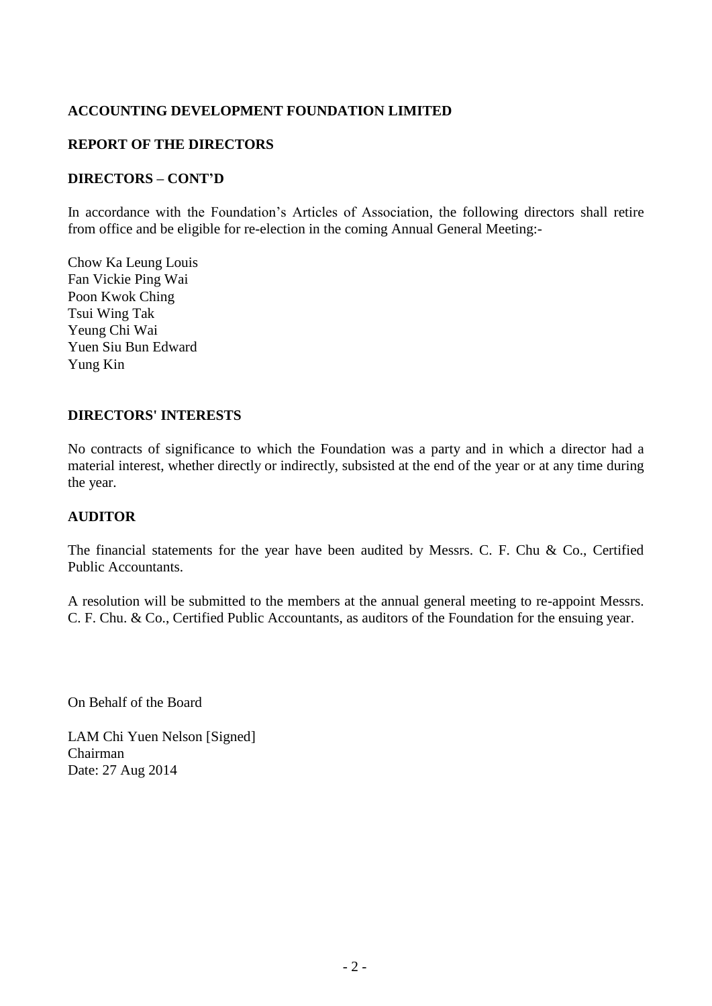### **REPORT OF THE DIRECTORS**

### **DIRECTORS – CONT'D**

In accordance with the Foundation's Articles of Association, the following directors shall retire from office and be eligible for re-election in the coming Annual General Meeting:-

Chow Ka Leung Louis Fan Vickie Ping Wai Poon Kwok Ching Tsui Wing Tak Yeung Chi Wai Yuen Siu Bun Edward Yung Kin

### **DIRECTORS' INTERESTS**

No contracts of significance to which the Foundation was a party and in which a director had a material interest, whether directly or indirectly, subsisted at the end of the year or at any time during the year.

### **AUDITOR**

The financial statements for the year have been audited by Messrs. C. F. Chu & Co., Certified Public Accountants.

A resolution will be submitted to the members at the annual general meeting to re-appoint Messrs. C. F. Chu. & Co., Certified Public Accountants, as auditors of the Foundation for the ensuing year.

On Behalf of the Board

LAM Chi Yuen Nelson [Signed] Chairman Date: 27 Aug 2014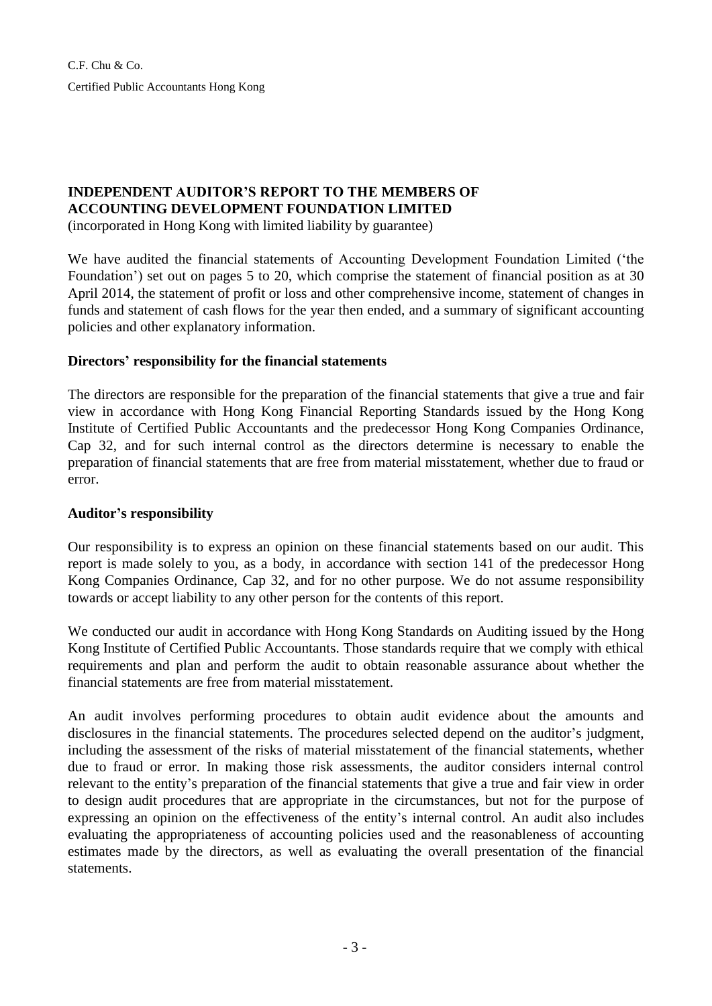C.F. Chu & Co. Certified Public Accountants Hong Kong

## **INDEPENDENT AUDITOR'S REPORT TO THE MEMBERS OF ACCOUNTING DEVELOPMENT FOUNDATION LIMITED**

(incorporated in Hong Kong with limited liability by guarantee)

We have audited the financial statements of Accounting Development Foundation Limited ('the Foundation') set out on pages 5 to 20, which comprise the statement of financial position as at 30 April 2014, the statement of profit or loss and other comprehensive income, statement of changes in funds and statement of cash flows for the year then ended, and a summary of significant accounting policies and other explanatory information.

### **Directors' responsibility for the financial statements**

The directors are responsible for the preparation of the financial statements that give a true and fair view in accordance with Hong Kong Financial Reporting Standards issued by the Hong Kong Institute of Certified Public Accountants and the predecessor Hong Kong Companies Ordinance, Cap 32, and for such internal control as the directors determine is necessary to enable the preparation of financial statements that are free from material misstatement, whether due to fraud or error.

### **Auditor's responsibility**

Our responsibility is to express an opinion on these financial statements based on our audit. This report is made solely to you, as a body, in accordance with section 141 of the predecessor Hong Kong Companies Ordinance, Cap 32, and for no other purpose. We do not assume responsibility towards or accept liability to any other person for the contents of this report.

We conducted our audit in accordance with Hong Kong Standards on Auditing issued by the Hong Kong Institute of Certified Public Accountants. Those standards require that we comply with ethical requirements and plan and perform the audit to obtain reasonable assurance about whether the financial statements are free from material misstatement.

An audit involves performing procedures to obtain audit evidence about the amounts and disclosures in the financial statements. The procedures selected depend on the auditor's judgment, including the assessment of the risks of material misstatement of the financial statements, whether due to fraud or error. In making those risk assessments, the auditor considers internal control relevant to the entity's preparation of the financial statements that give a true and fair view in order to design audit procedures that are appropriate in the circumstances, but not for the purpose of expressing an opinion on the effectiveness of the entity's internal control. An audit also includes evaluating the appropriateness of accounting policies used and the reasonableness of accounting estimates made by the directors, as well as evaluating the overall presentation of the financial statements.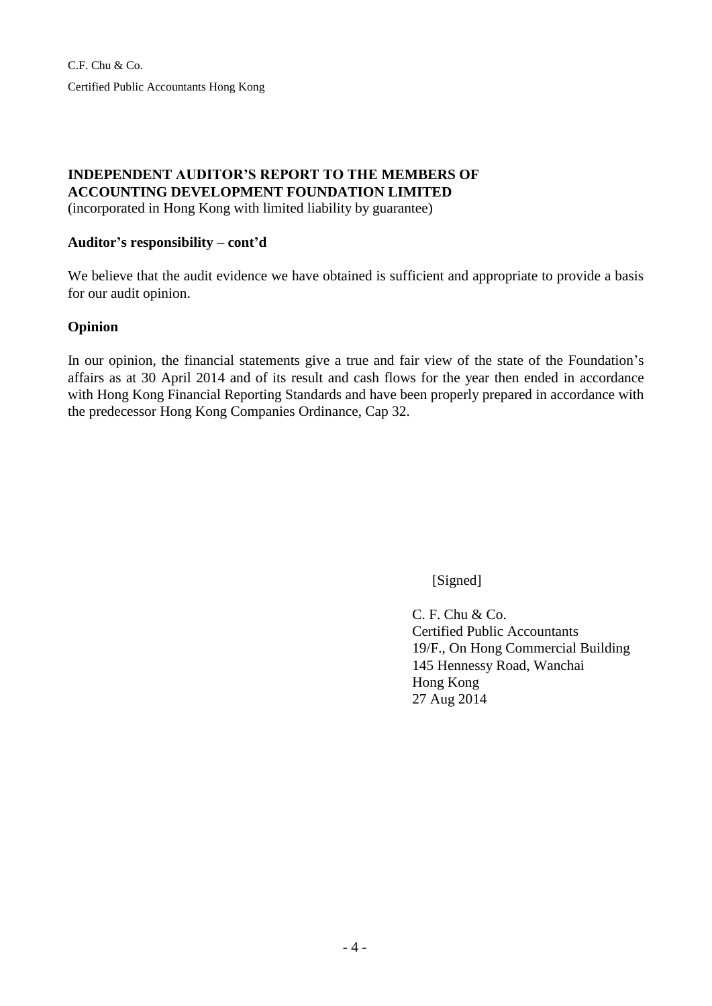C.F. Chu & Co. Certified Public Accountants Hong Kong

## **INDEPENDENT AUDITOR'S REPORT TO THE MEMBERS OF ACCOUNTING DEVELOPMENT FOUNDATION LIMITED**

(incorporated in Hong Kong with limited liability by guarantee)

### **Auditor's responsibility – cont'd**

We believe that the audit evidence we have obtained is sufficient and appropriate to provide a basis for our audit opinion.

### **Opinion**

In our opinion, the financial statements give a true and fair view of the state of the Foundation's affairs as at 30 April 2014 and of its result and cash flows for the year then ended in accordance with Hong Kong Financial Reporting Standards and have been properly prepared in accordance with the predecessor Hong Kong Companies Ordinance, Cap 32.

[Signed]

 $C. F. Chu & Co.$ Certified Public Accountants 19/F., On Hong Commercial Building 145 Hennessy Road, Wanchai Hong Kong 27 Aug 2014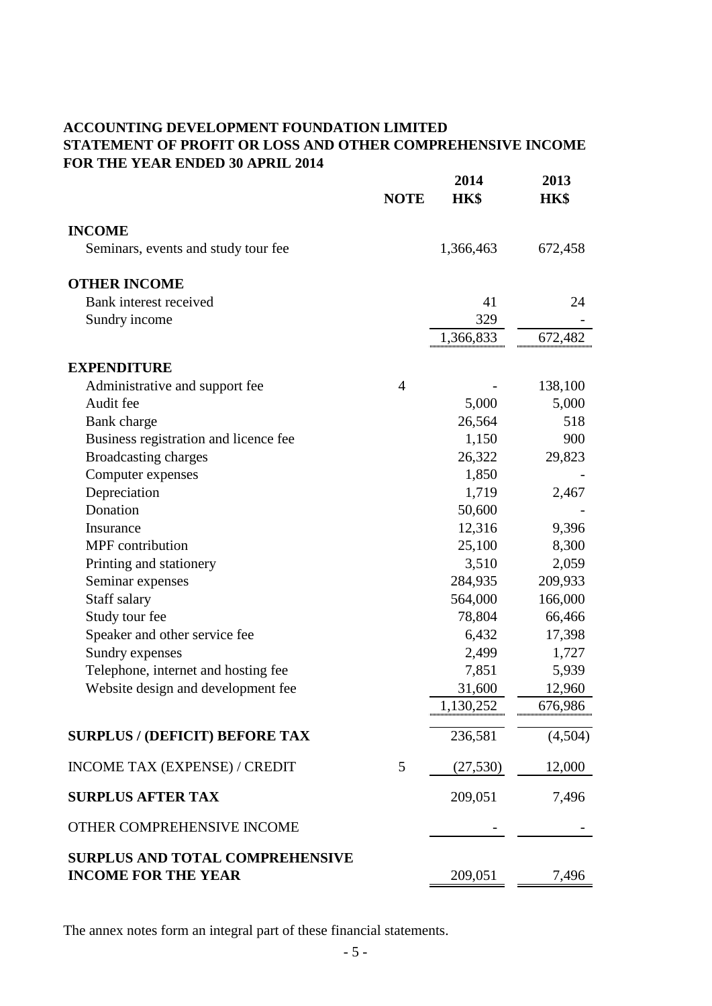## **ACCOUNTING DEVELOPMENT FOUNDATION LIMITED STATEMENT OF PROFIT OR LOSS AND OTHER COMPREHENSIVE INCOME FOR THE YEAR ENDED 30 APRIL 2014**

| <b>NOTE</b>                                                          | 2014<br><b>HK\$</b> | 2013<br>HK\$ |
|----------------------------------------------------------------------|---------------------|--------------|
| <b>INCOME</b>                                                        |                     |              |
| Seminars, events and study tour fee                                  | 1,366,463           | 672,458      |
| <b>OTHER INCOME</b>                                                  |                     |              |
| Bank interest received                                               | 41                  | 24           |
| Sundry income                                                        | 329                 |              |
|                                                                      | 1,366,833           | 672,482      |
| <b>EXPENDITURE</b>                                                   |                     |              |
| Administrative and support fee<br>4                                  |                     | 138,100      |
| Audit fee                                                            | 5,000               | 5,000        |
| Bank charge                                                          | 26,564              | 518          |
| Business registration and licence fee                                | 1,150               | 900          |
| Broadcasting charges                                                 | 26,322              | 29,823       |
| Computer expenses                                                    | 1,850               |              |
| Depreciation                                                         | 1,719               | 2,467        |
| Donation                                                             | 50,600              |              |
| Insurance                                                            | 12,316              | 9,396        |
| <b>MPF</b> contribution                                              | 25,100              | 8,300        |
| Printing and stationery                                              | 3,510               | 2,059        |
| Seminar expenses                                                     | 284,935             | 209,933      |
| Staff salary                                                         | 564,000             | 166,000      |
| Study tour fee                                                       | 78,804              | 66,466       |
| Speaker and other service fee                                        | 6,432               | 17,398       |
| Sundry expenses                                                      | 2,499               | 1,727        |
| Telephone, internet and hosting fee                                  | 7,851               | 5,939        |
| Website design and development fee                                   | 31,600              | 12,960       |
|                                                                      | 1,130,252           | 676,986      |
| <b>SURPLUS / (DEFICIT) BEFORE TAX</b>                                | 236,581             | (4,504)      |
| INCOME TAX (EXPENSE) / CREDIT<br>5                                   | (27, 530)           | 12,000       |
| <b>SURPLUS AFTER TAX</b>                                             | 209,051             | 7,496        |
| OTHER COMPREHENSIVE INCOME                                           |                     |              |
| <b>SURPLUS AND TOTAL COMPREHENSIVE</b><br><b>INCOME FOR THE YEAR</b> | 209,051             | 7,496        |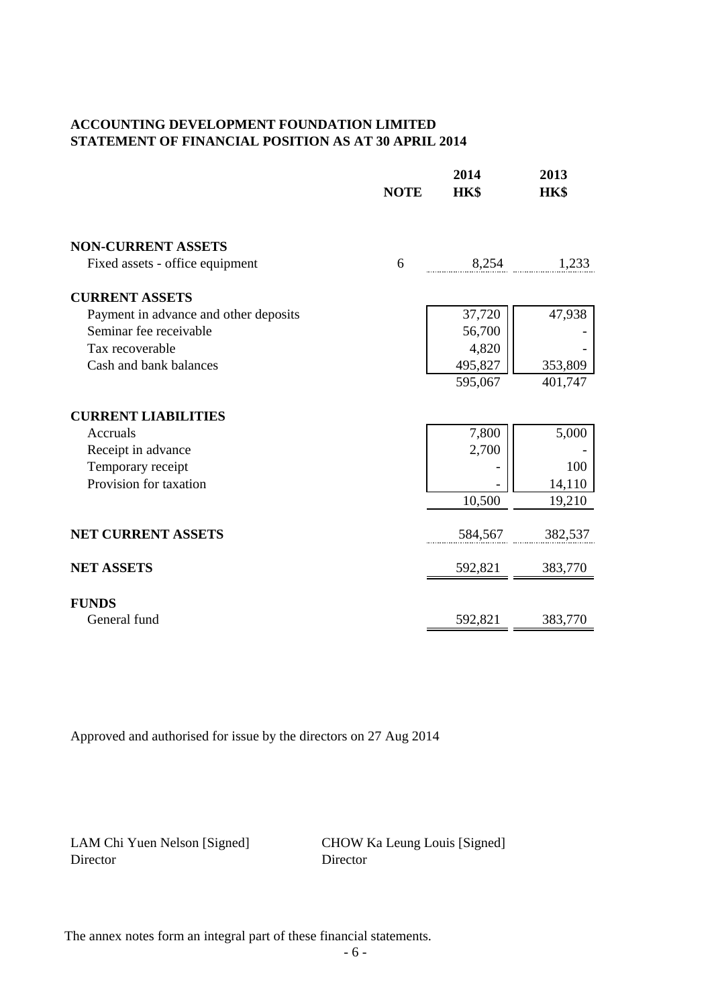### **ACCOUNTING DEVELOPMENT FOUNDATION LIMITED STATEMENT OF FINANCIAL POSITION AS AT 30 APRIL 2014**

|                                       | <b>NOTE</b> | 2014<br>HK\$ | 2013<br>HK\$ |
|---------------------------------------|-------------|--------------|--------------|
| <b>NON-CURRENT ASSETS</b>             |             |              |              |
| Fixed assets - office equipment       | 6           | 8,254        | 1,233        |
| <b>CURRENT ASSETS</b>                 |             |              |              |
| Payment in advance and other deposits |             | 37,720       | 47,938       |
| Seminar fee receivable                |             | 56,700       |              |
| Tax recoverable                       |             | 4,820        |              |
| Cash and bank balances                |             | 495,827      | 353,809      |
|                                       |             | 595,067      | 401,747      |
| <b>CURRENT LIABILITIES</b>            |             |              |              |
| Accruals                              |             | 7,800        | 5,000        |
| Receipt in advance                    |             | 2,700        |              |
| Temporary receipt                     |             |              | 100          |
| Provision for taxation                |             |              | 14,110       |
|                                       |             | 10,500       | 19,210       |
| <b>NET CURRENT ASSETS</b>             |             | 584,567      | 382,537      |
| <b>NET ASSETS</b>                     |             | 592,821      | 383,770      |
| <b>FUNDS</b>                          |             |              |              |
| General fund                          |             | 592,821      | 383,770      |

Approved and authorised for issue by the directors on 27 Aug 2014

Director Director

LAM Chi Yuen Nelson [Signed] CHOW Ka Leung Louis [Signed]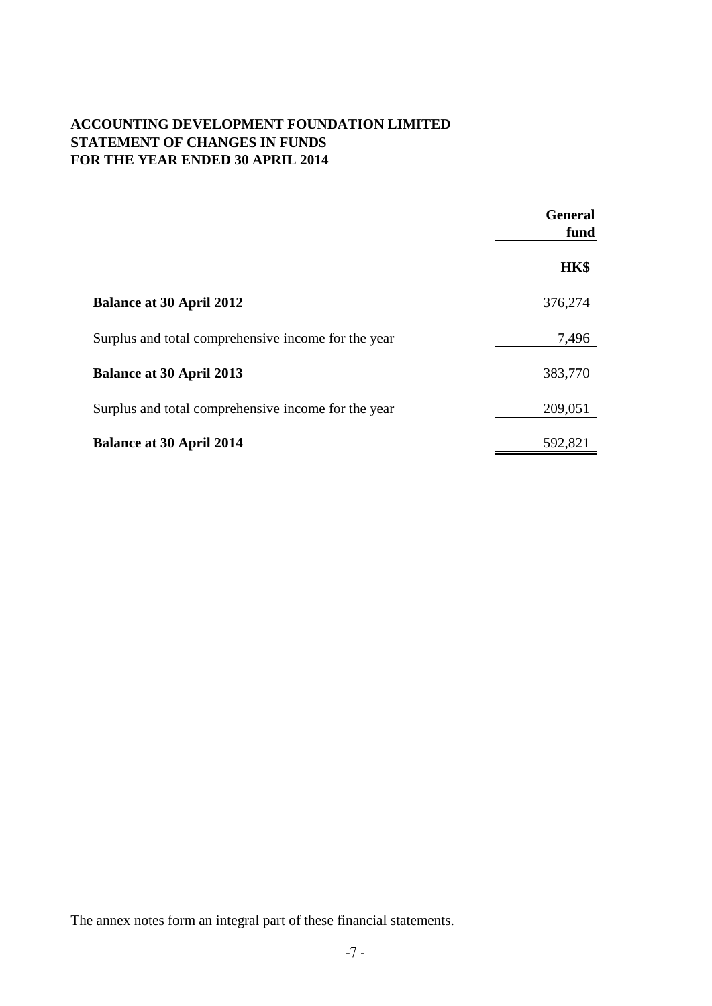## **ACCOUNTING DEVELOPMENT FOUNDATION LIMITED STATEMENT OF CHANGES IN FUNDS FOR THE YEAR ENDED 30 APRIL 2014**

|                                                     | <b>General</b><br>fund |
|-----------------------------------------------------|------------------------|
|                                                     | HK\$                   |
| <b>Balance at 30 April 2012</b>                     | 376,274                |
| Surplus and total comprehensive income for the year | 7,496                  |
| <b>Balance at 30 April 2013</b>                     | 383,770                |
| Surplus and total comprehensive income for the year | 209,051                |
| <b>Balance at 30 April 2014</b>                     | 592,821                |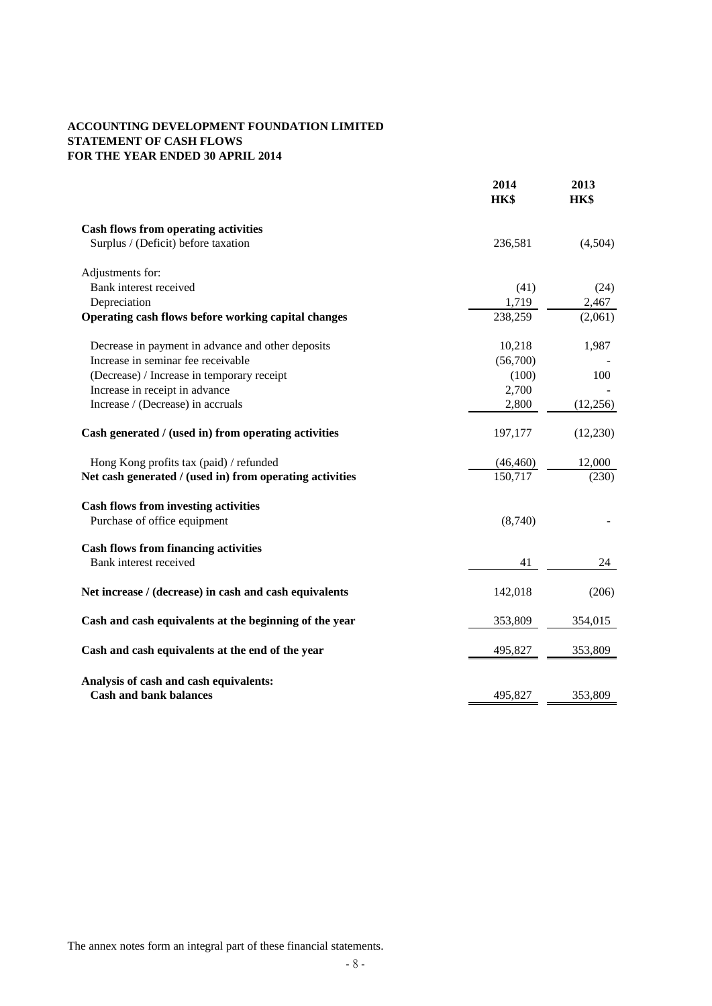#### **ACCOUNTING DEVELOPMENT FOUNDATION LIMITED STATEMENT OF CASH FLOWS FOR THE YEAR ENDED 30 APRIL 2014**

|                                                          | 2014<br>HK\$ | 2013<br>HK\$ |
|----------------------------------------------------------|--------------|--------------|
| <b>Cash flows from operating activities</b>              |              |              |
| Surplus / (Deficit) before taxation                      | 236,581      | (4,504)      |
| Adjustments for:                                         |              |              |
| Bank interest received                                   | (41)         | (24)         |
| Depreciation                                             | 1,719        | 2,467        |
| Operating cash flows before working capital changes      | 238,259      | (2,061)      |
| Decrease in payment in advance and other deposits        | 10,218       | 1,987        |
| Increase in seminar fee receivable                       | (56,700)     |              |
| (Decrease) / Increase in temporary receipt               | (100)        | 100          |
| Increase in receipt in advance                           | 2,700        |              |
| Increase / (Decrease) in accruals                        | 2,800        | (12, 256)    |
| Cash generated / (used in) from operating activities     | 197,177      | (12,230)     |
| Hong Kong profits tax (paid) / refunded                  | (46, 460)    | 12,000       |
| Net cash generated / (used in) from operating activities | 150,717      | (230)        |
| <b>Cash flows from investing activities</b>              |              |              |
| Purchase of office equipment                             | (8,740)      |              |
| <b>Cash flows from financing activities</b>              |              |              |
| Bank interest received                                   | 41           | 24           |
| Net increase / (decrease) in cash and cash equivalents   | 142,018      | (206)        |
| Cash and cash equivalents at the beginning of the year   | 353,809      | 354,015      |
| Cash and cash equivalents at the end of the year         | 495,827      | 353,809      |
| Analysis of cash and cash equivalents:                   |              |              |
| <b>Cash and bank balances</b>                            | 495,827      | 353,809      |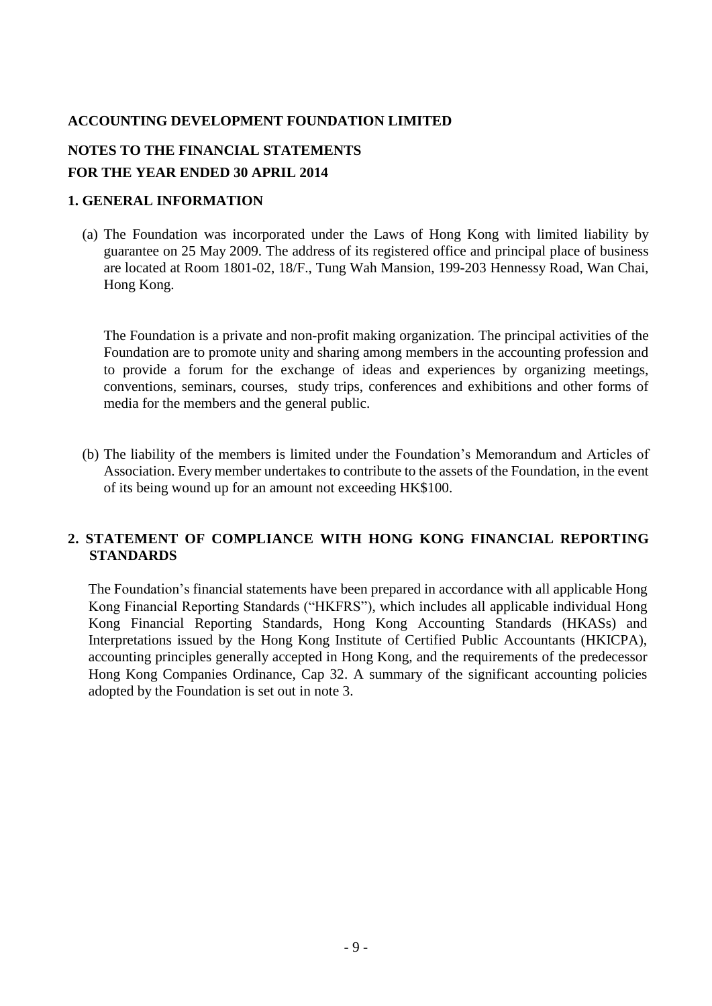## **NOTES TO THE FINANCIAL STATEMENTS FOR THE YEAR ENDED 30 APRIL 2014**

### **1. GENERAL INFORMATION**

(a) The Foundation was incorporated under the Laws of Hong Kong with limited liability by guarantee on 25 May 2009. The address of its registered office and principal place of business are located at Room 1801-02, 18/F., Tung Wah Mansion, 199-203 Hennessy Road, Wan Chai, Hong Kong.

The Foundation is a private and non-profit making organization. The principal activities of the Foundation are to promote unity and sharing among members in the accounting profession and to provide a forum for the exchange of ideas and experiences by organizing meetings, conventions, seminars, courses, study trips, conferences and exhibitions and other forms of media for the members and the general public.

(b) The liability of the members is limited under the Foundation's Memorandum and Articles of Association. Every member undertakes to contribute to the assets of the Foundation, in the event of its being wound up for an amount not exceeding HK\$100.

## **2. STATEMENT OF COMPLIANCE WITH HONG KONG FINANCIAL REPORTING STANDARDS**

The Foundation's financial statements have been prepared in accordance with all applicable Hong Kong Financial Reporting Standards ("HKFRS"), which includes all applicable individual Hong Kong Financial Reporting Standards, Hong Kong Accounting Standards (HKASs) and Interpretations issued by the Hong Kong Institute of Certified Public Accountants (HKICPA), accounting principles generally accepted in Hong Kong, and the requirements of the predecessor Hong Kong Companies Ordinance, Cap 32. A summary of the significant accounting policies adopted by the Foundation is set out in note 3.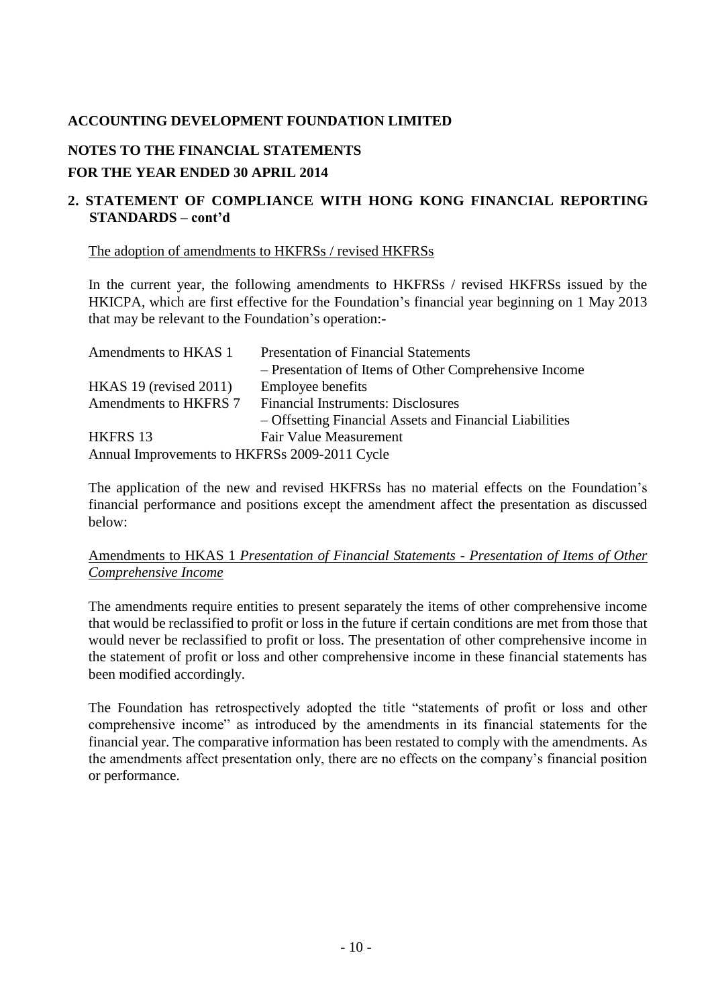## **NOTES TO THE FINANCIAL STATEMENTS**

## **FOR THE YEAR ENDED 30 APRIL 2014**

## **2. STATEMENT OF COMPLIANCE WITH HONG KONG FINANCIAL REPORTING STANDARDS – cont'd**

The adoption of amendments to HKFRSs / revised HKFRSs

In the current year, the following amendments to HKFRSs / revised HKFRSs issued by the HKICPA, which are first effective for the Foundation's financial year beginning on 1 May 2013 that may be relevant to the Foundation's operation:-

| Amendments to HKAS 1                          | <b>Presentation of Financial Statements</b>             |
|-----------------------------------------------|---------------------------------------------------------|
|                                               | - Presentation of Items of Other Comprehensive Income   |
| $HKAS$ 19 (revised 2011)                      | Employee benefits                                       |
| Amendments to HKFRS 7                         | <b>Financial Instruments: Disclosures</b>               |
|                                               | - Offsetting Financial Assets and Financial Liabilities |
| HKFRS 13                                      | Fair Value Measurement                                  |
| Annual Improvements to HKFRSs 2009-2011 Cycle |                                                         |

The application of the new and revised HKFRSs has no material effects on the Foundation's financial performance and positions except the amendment affect the presentation as discussed below:

### Amendments to HKAS 1 *Presentation of Financial Statements - Presentation of Items of Other Comprehensive Income*

The amendments require entities to present separately the items of other comprehensive income that would be reclassified to profit or loss in the future if certain conditions are met from those that would never be reclassified to profit or loss. The presentation of other comprehensive income in the statement of profit or loss and other comprehensive income in these financial statements has been modified accordingly.

The Foundation has retrospectively adopted the title "statements of profit or loss and other comprehensive income" as introduced by the amendments in its financial statements for the financial year. The comparative information has been restated to comply with the amendments. As the amendments affect presentation only, there are no effects on the company's financial position or performance.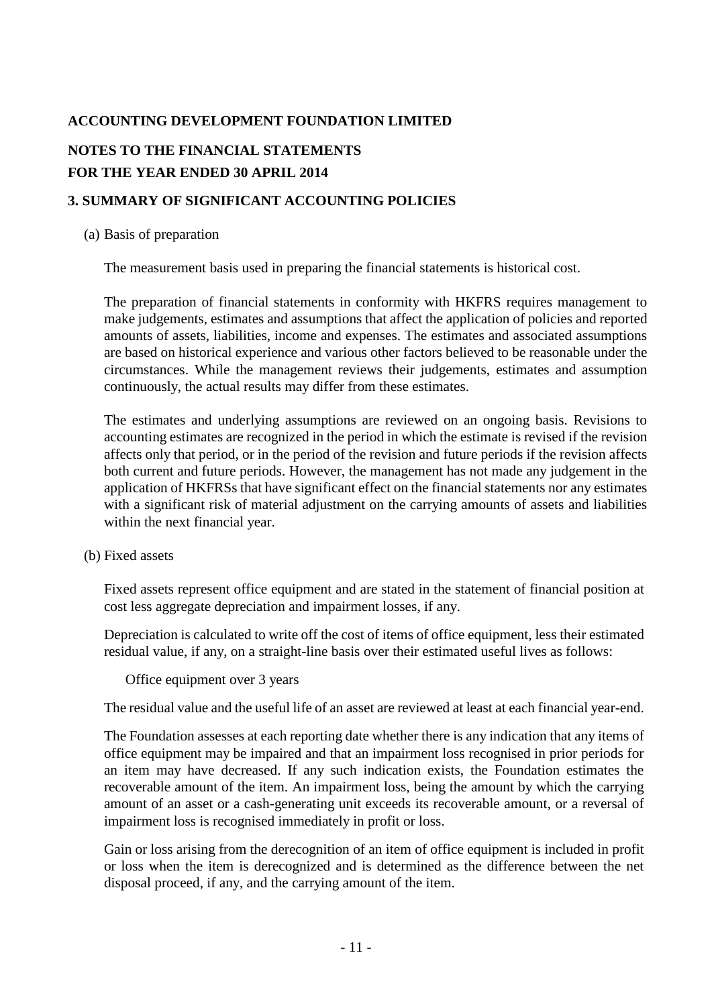## **NOTES TO THE FINANCIAL STATEMENTS FOR THE YEAR ENDED 30 APRIL 2014**

## **3. SUMMARY OF SIGNIFICANT ACCOUNTING POLICIES**

### (a) Basis of preparation

The measurement basis used in preparing the financial statements is historical cost.

The preparation of financial statements in conformity with HKFRS requires management to make judgements, estimates and assumptions that affect the application of policies and reported amounts of assets, liabilities, income and expenses. The estimates and associated assumptions are based on historical experience and various other factors believed to be reasonable under the circumstances. While the management reviews their judgements, estimates and assumption continuously, the actual results may differ from these estimates.

The estimates and underlying assumptions are reviewed on an ongoing basis. Revisions to accounting estimates are recognized in the period in which the estimate is revised if the revision affects only that period, or in the period of the revision and future periods if the revision affects both current and future periods. However, the management has not made any judgement in the application of HKFRSs that have significant effect on the financial statements nor any estimates with a significant risk of material adjustment on the carrying amounts of assets and liabilities within the next financial year.

### (b) Fixed assets

Fixed assets represent office equipment and are stated in the statement of financial position at cost less aggregate depreciation and impairment losses, if any.

Depreciation is calculated to write off the cost of items of office equipment, less their estimated residual value, if any, on a straight-line basis over their estimated useful lives as follows:

Office equipment over 3 years

The residual value and the useful life of an asset are reviewed at least at each financial year-end.

The Foundation assesses at each reporting date whether there is any indication that any items of office equipment may be impaired and that an impairment loss recognised in prior periods for an item may have decreased. If any such indication exists, the Foundation estimates the recoverable amount of the item. An impairment loss, being the amount by which the carrying amount of an asset or a cash-generating unit exceeds its recoverable amount, or a reversal of impairment loss is recognised immediately in profit or loss.

Gain or loss arising from the derecognition of an item of office equipment is included in profit or loss when the item is derecognized and is determined as the difference between the net disposal proceed, if any, and the carrying amount of the item.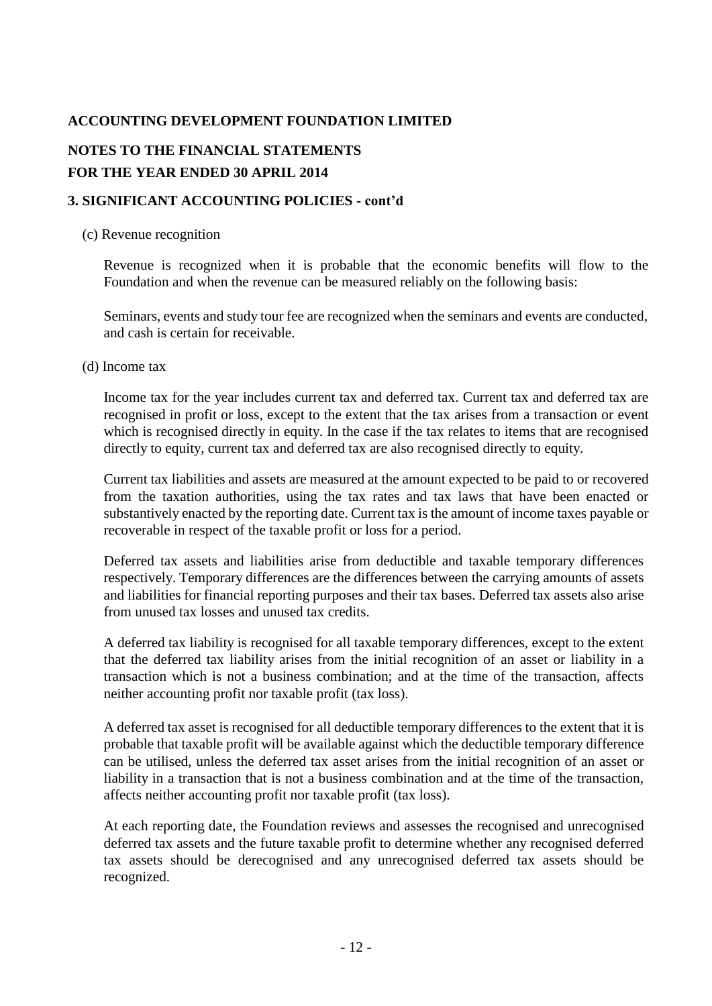## **NOTES TO THE FINANCIAL STATEMENTS FOR THE YEAR ENDED 30 APRIL 2014**

## **3. SIGNIFICANT ACCOUNTING POLICIES - cont'd**

### (c) Revenue recognition

Revenue is recognized when it is probable that the economic benefits will flow to the Foundation and when the revenue can be measured reliably on the following basis:

Seminars, events and study tour fee are recognized when the seminars and events are conducted, and cash is certain for receivable.

### (d) Income tax

Income tax for the year includes current tax and deferred tax. Current tax and deferred tax are recognised in profit or loss, except to the extent that the tax arises from a transaction or event which is recognised directly in equity. In the case if the tax relates to items that are recognised directly to equity, current tax and deferred tax are also recognised directly to equity.

Current tax liabilities and assets are measured at the amount expected to be paid to or recovered from the taxation authorities, using the tax rates and tax laws that have been enacted or substantively enacted by the reporting date. Current tax is the amount of income taxes payable or recoverable in respect of the taxable profit or loss for a period.

Deferred tax assets and liabilities arise from deductible and taxable temporary differences respectively. Temporary differences are the differences between the carrying amounts of assets and liabilities for financial reporting purposes and their tax bases. Deferred tax assets also arise from unused tax losses and unused tax credits.

A deferred tax liability is recognised for all taxable temporary differences, except to the extent that the deferred tax liability arises from the initial recognition of an asset or liability in a transaction which is not a business combination; and at the time of the transaction, affects neither accounting profit nor taxable profit (tax loss).

A deferred tax asset is recognised for all deductible temporary differences to the extent that it is probable that taxable profit will be available against which the deductible temporary difference can be utilised, unless the deferred tax asset arises from the initial recognition of an asset or liability in a transaction that is not a business combination and at the time of the transaction, affects neither accounting profit nor taxable profit (tax loss).

At each reporting date, the Foundation reviews and assesses the recognised and unrecognised deferred tax assets and the future taxable profit to determine whether any recognised deferred tax assets should be derecognised and any unrecognised deferred tax assets should be recognized.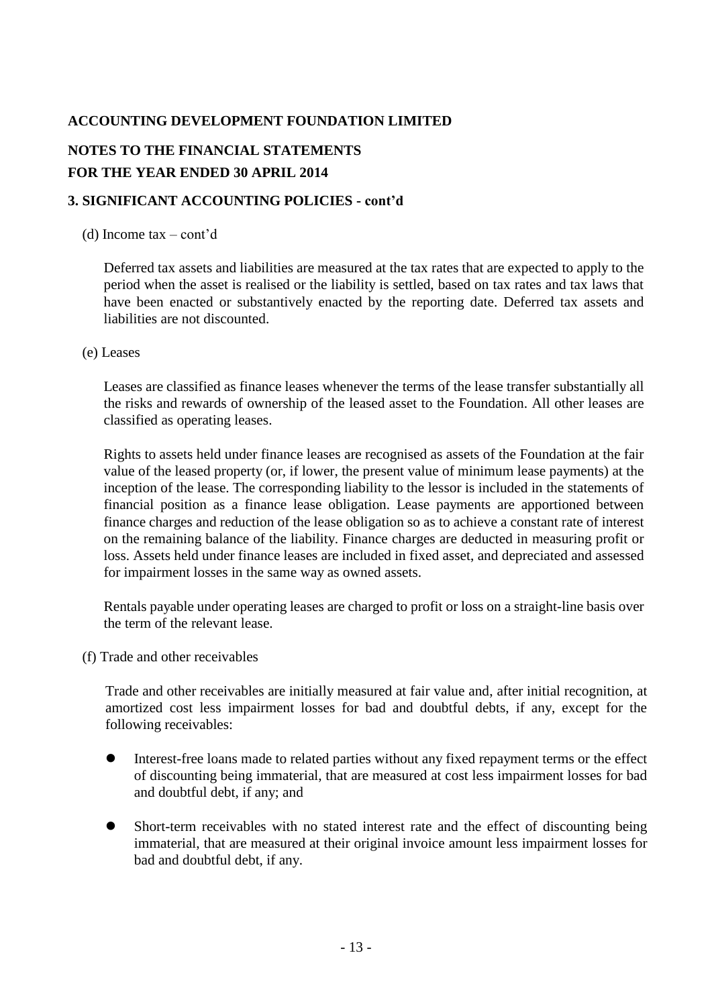## **NOTES TO THE FINANCIAL STATEMENTS FOR THE YEAR ENDED 30 APRIL 2014**

## **3. SIGNIFICANT ACCOUNTING POLICIES - cont'd**

### (d) Income tax – cont'd

Deferred tax assets and liabilities are measured at the tax rates that are expected to apply to the period when the asset is realised or the liability is settled, based on tax rates and tax laws that have been enacted or substantively enacted by the reporting date. Deferred tax assets and liabilities are not discounted.

### (e) Leases

Leases are classified as finance leases whenever the terms of the lease transfer substantially all the risks and rewards of ownership of the leased asset to the Foundation. All other leases are classified as operating leases.

Rights to assets held under finance leases are recognised as assets of the Foundation at the fair value of the leased property (or, if lower, the present value of minimum lease payments) at the inception of the lease. The corresponding liability to the lessor is included in the statements of financial position as a finance lease obligation. Lease payments are apportioned between finance charges and reduction of the lease obligation so as to achieve a constant rate of interest on the remaining balance of the liability. Finance charges are deducted in measuring profit or loss. Assets held under finance leases are included in fixed asset, and depreciated and assessed for impairment losses in the same way as owned assets.

Rentals payable under operating leases are charged to profit or loss on a straight-line basis over the term of the relevant lease.

(f) Trade and other receivables

Trade and other receivables are initially measured at fair value and, after initial recognition, at amortized cost less impairment losses for bad and doubtful debts, if any, except for the following receivables:

- Interest-free loans made to related parties without any fixed repayment terms or the effect of discounting being immaterial, that are measured at cost less impairment losses for bad and doubtful debt, if any; and
- Short-term receivables with no stated interest rate and the effect of discounting being immaterial, that are measured at their original invoice amount less impairment losses for bad and doubtful debt, if any.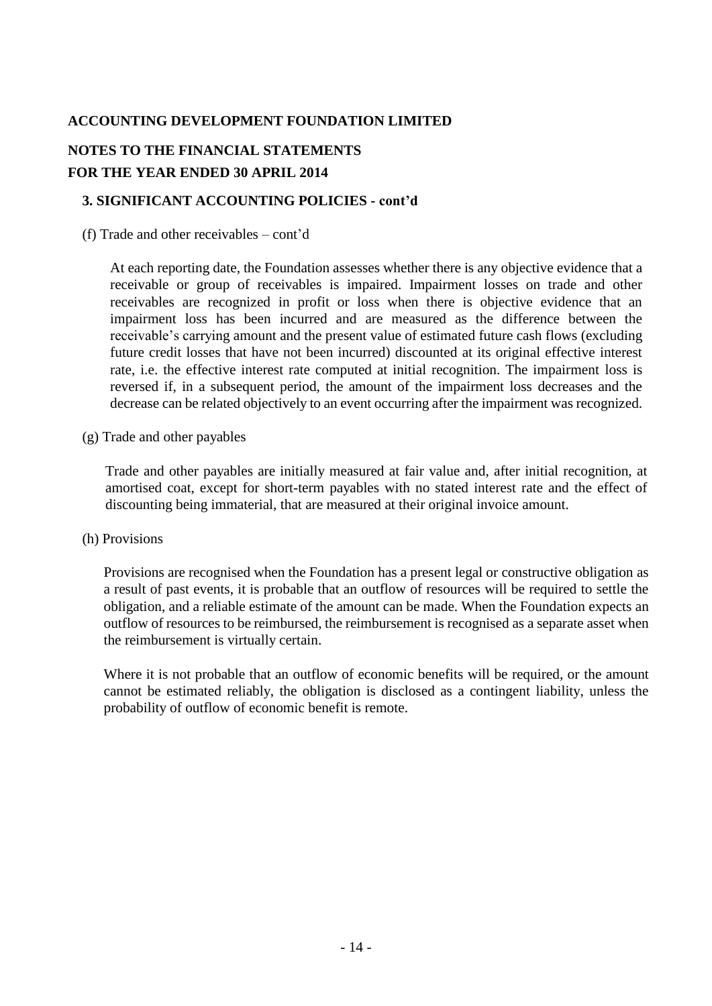## **NOTES TO THE FINANCIAL STATEMENTS FOR THE YEAR ENDED 30 APRIL 2014**

## **3. SIGNIFICANT ACCOUNTING POLICIES - cont'd**

(f) Trade and other receivables – cont'd

At each reporting date, the Foundation assesses whether there is any objective evidence that a receivable or group of receivables is impaired. Impairment losses on trade and other receivables are recognized in profit or loss when there is objective evidence that an impairment loss has been incurred and are measured as the difference between the receivable's carrying amount and the present value of estimated future cash flows (excluding future credit losses that have not been incurred) discounted at its original effective interest rate, i.e. the effective interest rate computed at initial recognition. The impairment loss is reversed if, in a subsequent period, the amount of the impairment loss decreases and the decrease can be related objectively to an event occurring after the impairment was recognized.

(g) Trade and other payables

Trade and other payables are initially measured at fair value and, after initial recognition, at amortised coat, except for short-term payables with no stated interest rate and the effect of discounting being immaterial, that are measured at their original invoice amount.

### (h) Provisions

Provisions are recognised when the Foundation has a present legal or constructive obligation as a result of past events, it is probable that an outflow of resources will be required to settle the obligation, and a reliable estimate of the amount can be made. When the Foundation expects an outflow of resources to be reimbursed, the reimbursement is recognised as a separate asset when the reimbursement is virtually certain.

Where it is not probable that an outflow of economic benefits will be required, or the amount cannot be estimated reliably, the obligation is disclosed as a contingent liability, unless the probability of outflow of economic benefit is remote.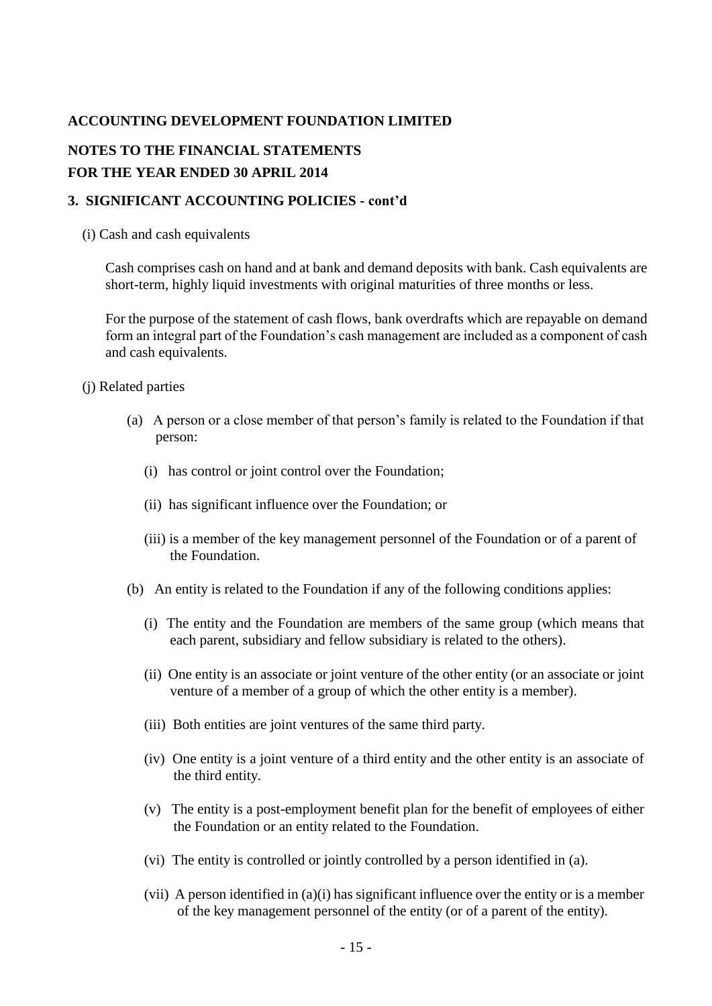## **NOTES TO THE FINANCIAL STATEMENTS FOR THE YEAR ENDED 30 APRIL 2014**

## **3. SIGNIFICANT ACCOUNTING POLICIES - cont'd**

### (i) Cash and cash equivalents

Cash comprises cash on hand and at bank and demand deposits with bank. Cash equivalents are short-term, highly liquid investments with original maturities of three months or less.

For the purpose of the statement of cash flows, bank overdrafts which are repayable on demand form an integral part of the Foundation's cash management are included as a component of cash and cash equivalents.

(j) Related parties

- (a) A person or a close member of that person's family is related to the Foundation if that person:
	- (i) has control or joint control over the Foundation;
	- (ii) has significant influence over the Foundation; or
	- (iii) is a member of the key management personnel of the Foundation or of a parent of the Foundation.
- (b) An entity is related to the Foundation if any of the following conditions applies:
	- (i) The entity and the Foundation are members of the same group (which means that each parent, subsidiary and fellow subsidiary is related to the others).
	- (ii) One entity is an associate or joint venture of the other entity (or an associate or joint venture of a member of a group of which the other entity is a member).
	- (iii) Both entities are joint ventures of the same third party.
	- (iv) One entity is a joint venture of a third entity and the other entity is an associate of the third entity.
	- (v) The entity is a post-employment benefit plan for the benefit of employees of either the Foundation or an entity related to the Foundation.
	- (vi) The entity is controlled or jointly controlled by a person identified in (a).
	- (vii) A person identified in (a)(i) has significant influence over the entity or is a member of the key management personnel of the entity (or of a parent of the entity).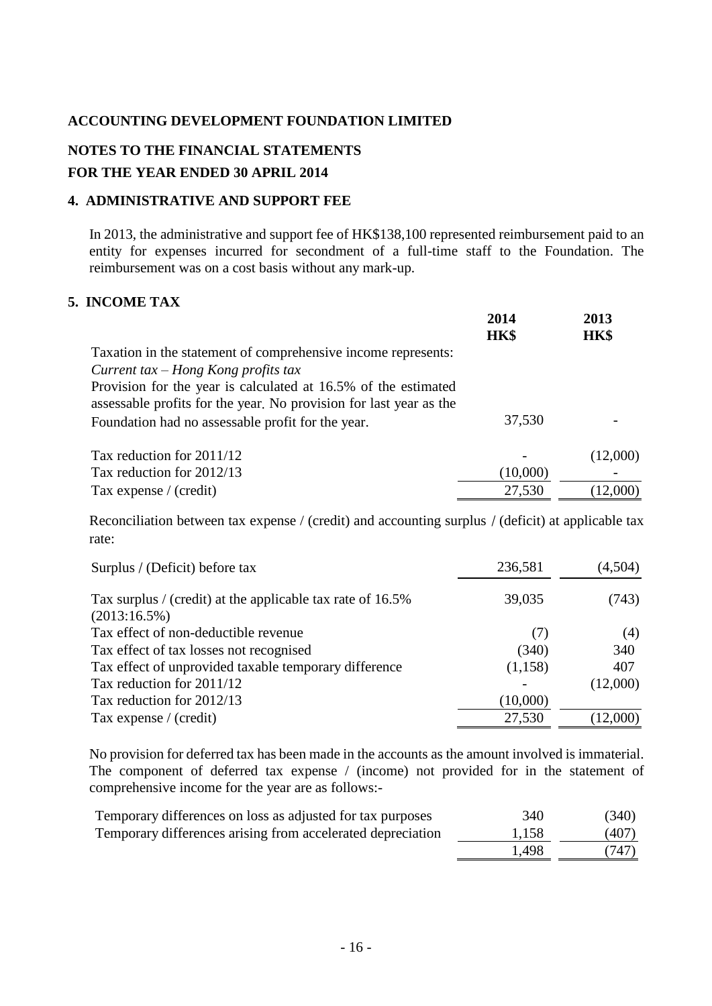## **NOTES TO THE FINANCIAL STATEMENTS FOR THE YEAR ENDED 30 APRIL 2014**

## **4. ADMINISTRATIVE AND SUPPORT FEE**

In 2013, the administrative and support fee of HK\$138,100 represented reimbursement paid to an entity for expenses incurred for secondment of a full-time staff to the Foundation. The reimbursement was on a cost basis without any mark-up.

## **5. INCOME TAX**

|                                                                                                                                      | 2014<br>HK\$ | 2013<br>HK\$ |
|--------------------------------------------------------------------------------------------------------------------------------------|--------------|--------------|
| Taxation in the statement of comprehensive income represents:                                                                        |              |              |
| Current tax $-$ Hong Kong profits tax                                                                                                |              |              |
| Provision for the year is calculated at 16.5% of the estimated<br>assessable profits for the year. No provision for last year as the |              |              |
| Foundation had no assessable profit for the year.                                                                                    | 37,530       |              |
| Tax reduction for $2011/12$                                                                                                          |              | (12,000)     |
| Tax reduction for 2012/13                                                                                                            | (10,000)     |              |
| Tax expense / (credit)                                                                                                               | 27,530       | (12,000)     |

Reconciliation between tax expense / (credit) and accounting surplus / (deficit) at applicable tax rate:

| Surplus / (Deficit) before tax                                                | 236,581  | (4,504)  |
|-------------------------------------------------------------------------------|----------|----------|
| Tax surplus / (credit) at the applicable tax rate of 16.5%<br>$(2013:16.5\%)$ | 39,035   | (743)    |
| Tax effect of non-deductible revenue                                          | (7)      | (4)      |
| Tax effect of tax losses not recognised                                       | (340)    | 340      |
| Tax effect of unprovided taxable temporary difference                         | (1,158)  | 407      |
| Tax reduction for 2011/12                                                     |          | (12,000) |
| Tax reduction for 2012/13                                                     | (10,000) |          |
| Tax expense $/$ (credit)                                                      | 27,530   | (12,000) |

No provision for deferred tax has been made in the accounts as the amount involved is immaterial. The component of deferred tax expense / (income) not provided for in the statement of comprehensive income for the year are as follows:-

| Temporary differences on loss as adjusted for tax purposes  | 340   | (340) |
|-------------------------------------------------------------|-------|-------|
| Temporary differences arising from accelerated depreciation | 1,158 | (407) |
|                                                             | 1.498 | (747) |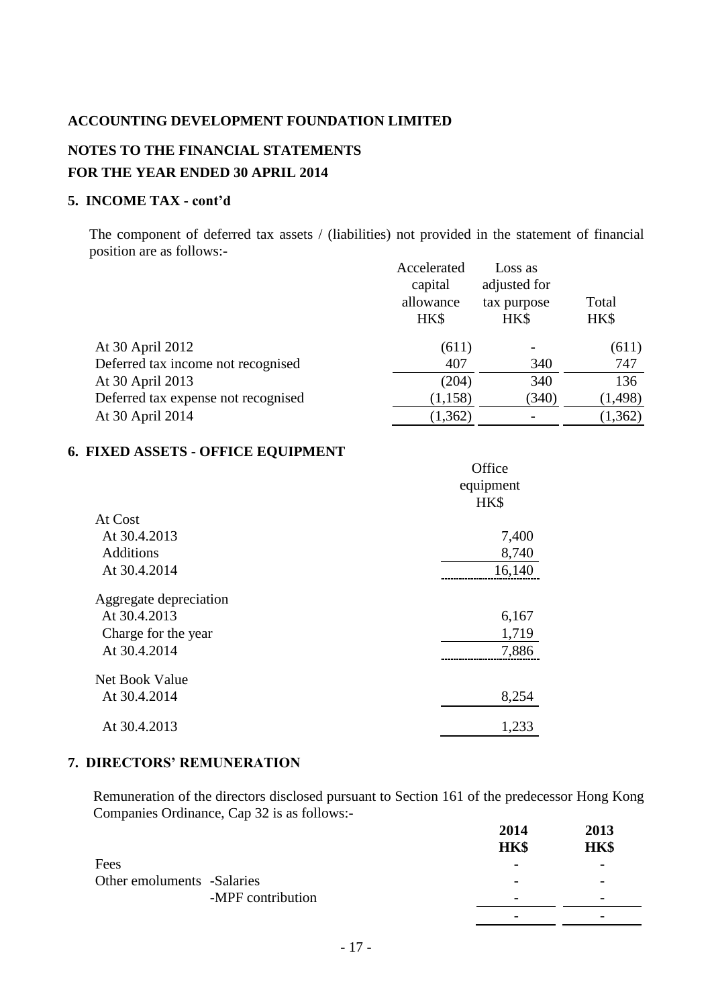## **NOTES TO THE FINANCIAL STATEMENTS FOR THE YEAR ENDED 30 APRIL 2014**

### **5. INCOME TAX - cont'd**

The component of deferred tax assets / (liabilities) not provided in the statement of financial position are as follows:- Accelerated I

|                                     | Accelerated<br>capital<br>allowance<br>HK\$ | Loss as<br>adjusted for<br>tax purpose<br>HK\$ | Total<br>HK\$ |
|-------------------------------------|---------------------------------------------|------------------------------------------------|---------------|
| At 30 April 2012                    | (611)                                       |                                                | (611)         |
| Deferred tax income not recognised  | 407                                         | 340                                            | 747           |
| At 30 April 2013                    | (204)                                       | 340                                            | 136           |
| Deferred tax expense not recognised | (1, 158)                                    | (340)                                          | (1, 498)      |
| At 30 April 2014                    | (1, 362)                                    |                                                | (1, 362)      |

### **6. FIXED ASSETS - OFFICE EQUIPMENT**

|                        | Office<br>equipment<br>HK\$ |
|------------------------|-----------------------------|
| At Cost                |                             |
| At 30.4.2013           | 7,400                       |
| <b>Additions</b>       | 8,740                       |
| At 30.4.2014           | 16,140                      |
| Aggregate depreciation |                             |
| At 30.4.2013           | 6,167                       |
| Charge for the year    | 1,719                       |
| At 30.4.2014           | 7,886                       |
| Net Book Value         |                             |
| At 30.4.2014           | 8,254                       |
| At 30.4.2013           | 1,233                       |

### **7. DIRECTORS' REMUNERATION**

Remuneration of the directors disclosed pursuant to Section 161 of the predecessor Hong Kong Companies Ordinance, Cap 32 is as follows:-

|                            |                   | 2014                     | 2013                     |
|----------------------------|-------------------|--------------------------|--------------------------|
|                            |                   | HK\$                     | HK\$                     |
| Fees                       |                   |                          |                          |
| Other emoluments -Salaries |                   | $\overline{\phantom{0}}$ | $\overline{\phantom{0}}$ |
|                            | -MPF contribution | $\overline{\phantom{0}}$ | $\overline{\phantom{0}}$ |
|                            |                   | -                        |                          |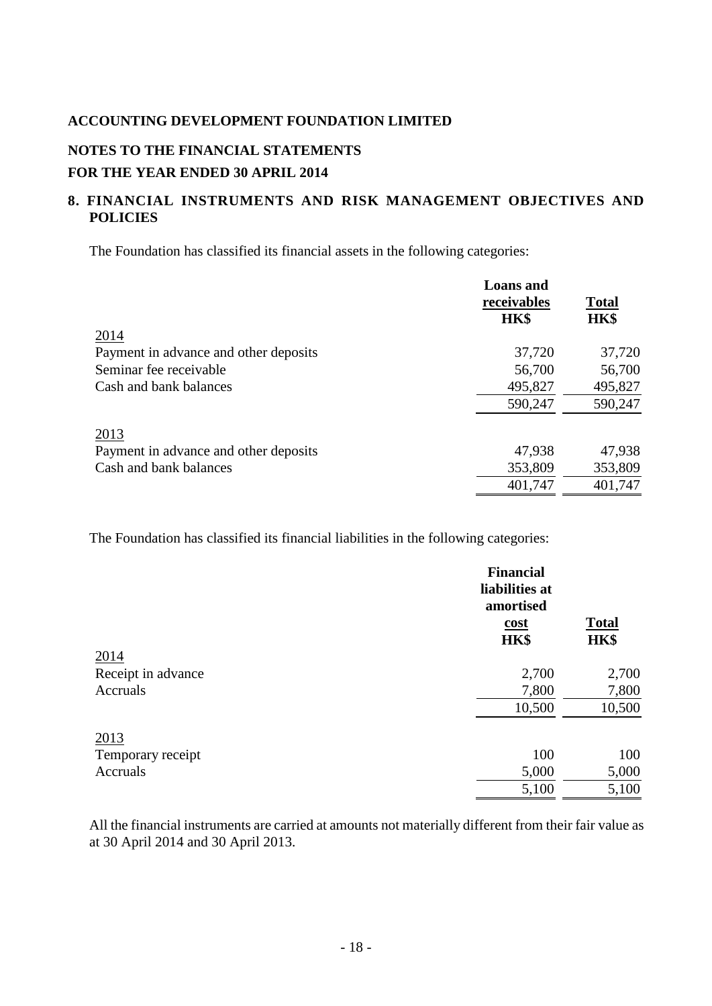# **NOTES TO THE FINANCIAL STATEMENTS**

## **FOR THE YEAR ENDED 30 APRIL 2014**

## **8. FINANCIAL INSTRUMENTS AND RISK MANAGEMENT OBJECTIVES AND POLICIES**

The Foundation has classified its financial assets in the following categories:

|                                       | <b>Loans</b> and<br>receivables<br>HK\$ | <b>Total</b><br>HK\$ |
|---------------------------------------|-----------------------------------------|----------------------|
| 2014                                  |                                         |                      |
| Payment in advance and other deposits | 37,720                                  | 37,720               |
| Seminar fee receivable                | 56,700                                  | 56,700               |
| Cash and bank balances                | 495,827                                 | 495,827              |
|                                       | 590,247                                 | 590,247              |
| 2013                                  |                                         |                      |
| Payment in advance and other deposits | 47,938                                  | 47,938               |
| Cash and bank balances                | 353,809                                 | 353,809              |
|                                       | 401,747                                 | 401,747              |

The Foundation has classified its financial liabilities in the following categories:

|                    | <b>Financial</b><br>liabilities at<br>amortised<br><u>cost</u><br>HK\$ | <b>Total</b><br>HK\$ |
|--------------------|------------------------------------------------------------------------|----------------------|
| 2014               |                                                                        |                      |
| Receipt in advance | 2,700                                                                  | 2,700                |
| Accruals           | 7,800                                                                  | 7,800                |
|                    | 10,500                                                                 | 10,500               |
| 2013               |                                                                        |                      |
| Temporary receipt  | 100                                                                    | 100                  |
| Accruals           | 5,000                                                                  | 5,000                |
|                    | 5,100                                                                  | 5,100                |

All the financial instruments are carried at amounts not materially different from their fair value as at 30 April 2014 and 30 April 2013.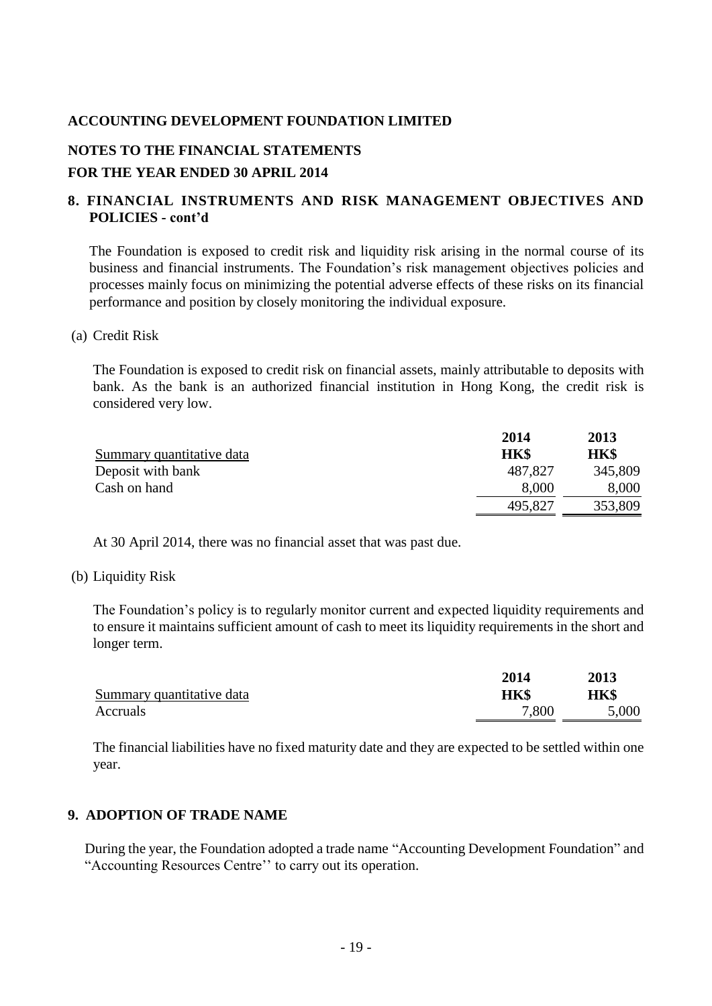## **NOTES TO THE FINANCIAL STATEMENTS**

## **FOR THE YEAR ENDED 30 APRIL 2014**

## **8. FINANCIAL INSTRUMENTS AND RISK MANAGEMENT OBJECTIVES AND POLICIES - cont'd**

The Foundation is exposed to credit risk and liquidity risk arising in the normal course of its business and financial instruments. The Foundation's risk management objectives policies and processes mainly focus on minimizing the potential adverse effects of these risks on its financial performance and position by closely monitoring the individual exposure.

### (a) Credit Risk

The Foundation is exposed to credit risk on financial assets, mainly attributable to deposits with bank. As the bank is an authorized financial institution in Hong Kong, the credit risk is considered very low.

|                           | 2014        | 2013    |
|---------------------------|-------------|---------|
| Summary quantitative data | <b>HK\$</b> | HK\$    |
| Deposit with bank         | 487.827     | 345,809 |
| Cash on hand              | 8,000       | 8,000   |
|                           | 495,827     | 353,809 |

At 30 April 2014, there was no financial asset that was past due.

### (b) Liquidity Risk

The Foundation's policy is to regularly monitor current and expected liquidity requirements and to ensure it maintains sufficient amount of cash to meet its liquidity requirements in the short and longer term.

|                           | 2014  | 2013  |
|---------------------------|-------|-------|
| Summary quantitative data | HK\$  | HK\$  |
| Accruals                  | 7,800 | 5,000 |

The financial liabilities have no fixed maturity date and they are expected to be settled within one year.

### **9. ADOPTION OF TRADE NAME**

During the year, the Foundation adopted a trade name "Accounting Development Foundation" and "Accounting Resources Centre'' to carry out its operation.